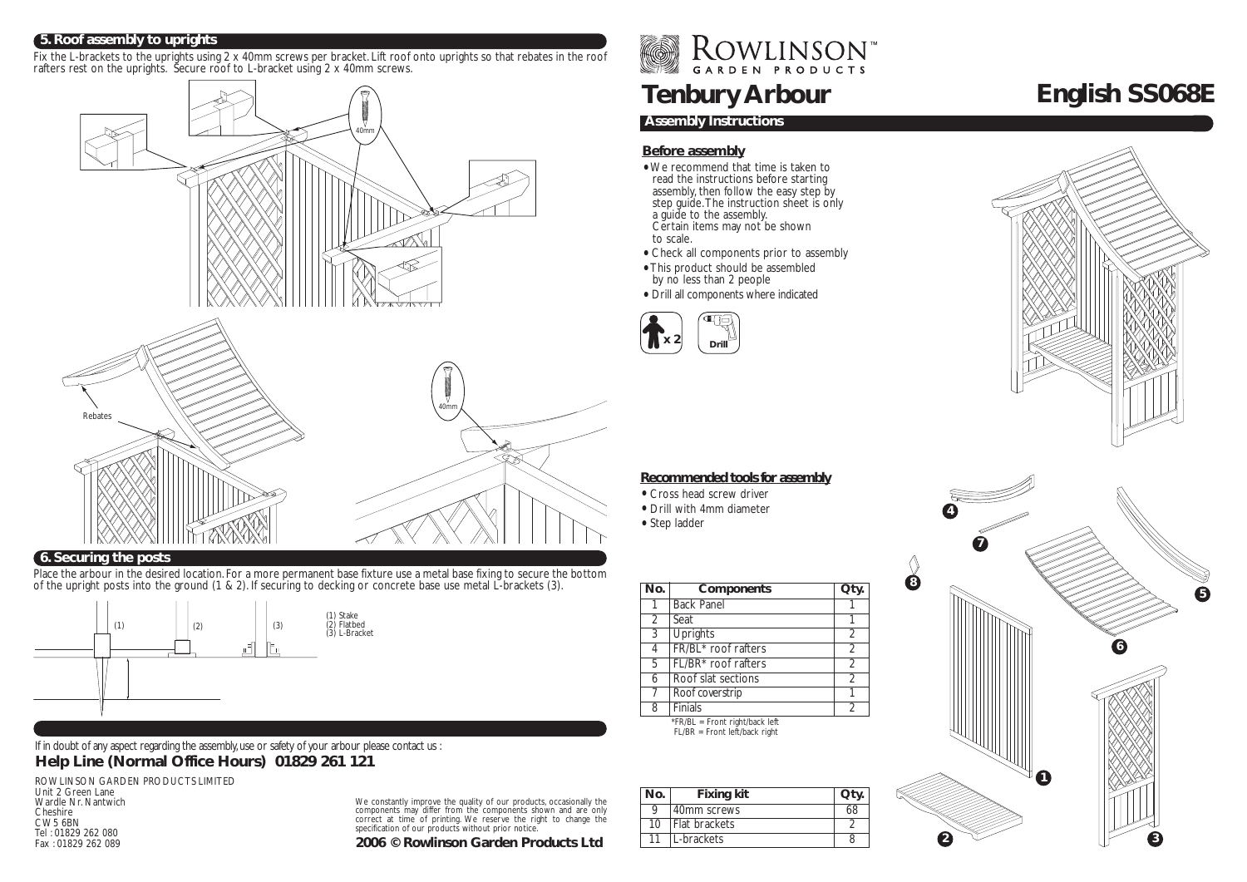#### **5. Roof assembly to uprights**

Fix the L-brackets to the uprights using 2 x 40mm screws per bracket. Lift roof onto uprights so that rebates in the roof rafters rest on the uprights. Secure roof to L-bracket using 2 x 40mm screws.



## **6. Securing the posts**

Place the arbour in the desired location. For a more permanent base fixture use a metal base fixing to secure the bottom of the upright posts into the ground (1 & 2). If securing to decking or concrete base use metal L-brackets (3).



If in doubt of any aspect regarding the assembly, use or safety of your arbour please contact us : **Help Line (Normal Office Hours) 01829 261 121**

ROWLINSON GARDEN PRODUCTS LIMITED Unit 2 Green Lane Wardle Nr. Nantwich Cheshire CW5 6BN Tel : 01829 262 080 Fax : 01829 262 089

We constantly improve the quality of our products, occasionally the components may differ from the components shown and are only correct at time of printing. We reserve the right to change the specification of our products without prior notice.

**2006 © Rowlinson Garden Products Ltd**

ROWLINSON<sup>W</sup>

# **Tenbury Arbour**

## **Assembly Instructions**

## **Before assembly**

- We recommend that time is taken to read the instructions before starting assembly, then follow the easy step by step guide. The instruction sheet is only a guide to the assembly. Certain items may not be shown to scale.
- Check all components prior to assembly
- This product should be assembled by no less than 2 people
- Drill all components where indicated





## **Recommended tools for assembly**

- Cross head screw driver
- Drill with 4mm diameter
- Step ladder

| No.            | Components                      | Qty.           |
|----------------|---------------------------------|----------------|
|                | <b>Back Panel</b>               |                |
| $\overline{2}$ | Seat                            |                |
| 3              | <b>Uprights</b>                 | $\overline{2}$ |
| 4              | FR/BL* roof rafters             | $\overline{2}$ |
| 5              | FL/BR <sup>*</sup> roof rafters | $\overline{2}$ |
| 6              | Roof slat sections              | $\overline{2}$ |
|                | Roof coverstrip                 |                |
| 8              | Finials                         | $\mathfrak{D}$ |

\*FR/BL = Front right/back left FL/BR = Front left/back right

| No. | <b>Fixing kit</b> | Qtv. |
|-----|-------------------|------|
| Q   | 40mm screws       | 68   |
| 10  | Flat brackets     |      |
| 11  | L-brackets        |      |



## **English SS068E**